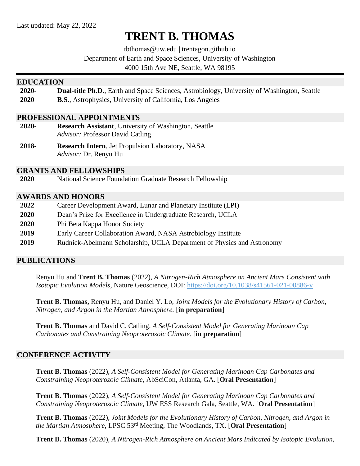# **TRENT B. THOMAS**

tbthomas@uw.edu | trentagon.github.io

Department of Earth and Space Sciences, University of Washington

4000 15th Ave NE, Seattle, WA 98195

#### **EDUCATION**

| 2020- |  |  |  |  |  | <b>Dual-title Ph.D.</b> , Earth and Space Sciences, Astrobiology, University of Washington, Seattle |
|-------|--|--|--|--|--|-----------------------------------------------------------------------------------------------------|
|-------|--|--|--|--|--|-----------------------------------------------------------------------------------------------------|

**2020 B.S.**, Astrophysics, University of California, Los Angeles

#### **PROFESSIONAL APPOINTMENTS**

- **2020- Research Assistant**, University of Washington, Seattle *Advisor:* Professor David Catling
- **2018- Research Intern**, Jet Propulsion Laboratory, NASA *Advisor:* Dr. Renyu Hu

#### **GRANTS AND FELLOWSHIPS**

**2020** National Science Foundation Graduate Research Fellowship

#### **AWARDS AND HONORS**

 Career Development Award, Lunar and Planetary Institute (LPI) Dean's Prize for Excellence in Undergraduate Research, UCLA Phi Beta Kappa Honor Society Early Career Collaboration Award, NASA Astrobiology Institute Rudnick-Abelmann Scholarship, UCLA Department of Physics and Astronomy

## **PUBLICATIONS**

Renyu Hu and **Trent B. Thomas** (2022), *A Nitrogen-Rich Atmosphere on Ancient Mars Consistent with Isotopic Evolution Models*, Nature Geoscience, DOI:<https://doi.org/10.1038/s41561-021-00886-y>

**Trent B. Thomas,** Renyu Hu, and Daniel Y. Lo, *Joint Models for the Evolutionary History of Carbon, Nitrogen, and Argon in the Martian Atmosphere.* [**in preparation**]

**Trent B. Thomas** and David C. Catling, *A Self-Consistent Model for Generating Marinoan Cap Carbonates and Constraining Neoproterozoic Climate.* [**in preparation**]

#### **CONFERENCE ACTIVITY**

**Trent B. Thomas** (2022), *A Self-Consistent Model for Generating Marinoan Cap Carbonates and Constraining Neoproterozoic Climate,* AbSciCon, Atlanta, GA. [**Oral Presentation**]

**Trent B. Thomas** (2022), *A Self-Consistent Model for Generating Marinoan Cap Carbonates and Constraining Neoproterozoic Climate,* UW ESS Research Gala, Seattle, WA. [**Oral Presentation**]

**Trent B. Thomas** (2022), *Joint Models for the Evolutionary History of Carbon, Nitrogen, and Argon in the Martian Atmosphere,* LPSC 53rd Meeting, The Woodlands, TX. [**Oral Presentation**]

**Trent B. Thomas** (2020), *A Nitrogen-Rich Atmosphere on Ancient Mars Indicated by Isotopic Evolution,*